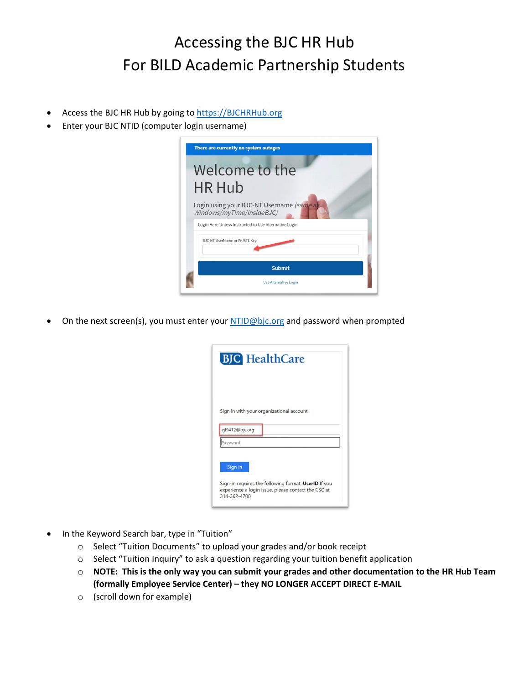## Accessing the BJC HR Hub For BILD Academic Partnership Students

- Access the BJC HR Hub by going to [https://BJCHRHub.org](https://bjchrhub.org/)
- Enter your BJC NTID (computer login username)



On the next screen(s), you must enter you[r NTID@bjc.org](mailto:NTID@bjc.org) and password when prompted

| <b>BJC</b> HealthCare                                                                                                                  |
|----------------------------------------------------------------------------------------------------------------------------------------|
| Sign in with your organizational account<br>ejl9412@bjc.org<br>assword                                                                 |
| Sign in<br>Sign-in requires the following format: UserID If you<br>experience a login issue, please contact the CSC at<br>314-362-4700 |

- In the Keyword Search bar, type in "Tuition"
	- o Select "Tuition Documents" to upload your grades and/or book receipt
	- $\circ$  Select "Tuition Inquiry" to ask a question regarding your tuition benefit application
	- o **NOTE: This is the only way you can submit your grades and other documentation to the HR Hub Team (formally Employee Service Center) – they NO LONGER ACCEPT DIRECT E-MAIL**
	- o (scroll down for example)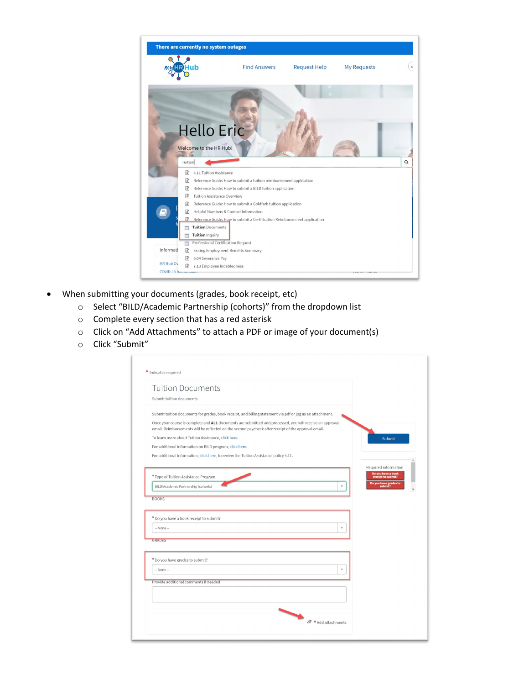

- When submitting your documents (grades, book receipt, etc)
	- o Select "BILD/Academic Partnership (cohorts)" from the dropdown list
	- o Complete every section that has a red asterisk
	- o Click on "Add Attachments" to attach a PDF or image of your document(s)
	- o Click "Submit"

| <b>Tuition Documents</b>                                |                                                                                                                                                                                                                 |                                                                  |
|---------------------------------------------------------|-----------------------------------------------------------------------------------------------------------------------------------------------------------------------------------------------------------------|------------------------------------------------------------------|
| Submit tuition documents                                |                                                                                                                                                                                                                 |                                                                  |
|                                                         | Submit tuition documents for grades, book receipt, and billing statement via pdf or jpg as an attachment.                                                                                                       |                                                                  |
|                                                         | Once your course is complete and ALL documents are submitted and processed, you will receive an approval<br>email. Reimbursements will be reflected on the second paycheck after receipt of the approval email. |                                                                  |
| To learn more about Tuition Assistance, click here.     |                                                                                                                                                                                                                 | Submit                                                           |
| For additional information on BILD program, click here. |                                                                                                                                                                                                                 |                                                                  |
|                                                         | For additional information, click here, to review the Tuition Assistance policy 4.11.                                                                                                                           |                                                                  |
| * Type of Tuition Assistance Program                    |                                                                                                                                                                                                                 | Required information<br>Do you have a book<br>receipt to submit? |
| BILD/Academic Partnership (cohorts)                     |                                                                                                                                                                                                                 | Do you have grades to<br>v<br>submit?                            |
| <b>BOOKS</b>                                            |                                                                                                                                                                                                                 |                                                                  |
| * Do you have a book receipt to submit?                 |                                                                                                                                                                                                                 |                                                                  |
| -- None --                                              |                                                                                                                                                                                                                 | v                                                                |
| <b>GRADES</b>                                           |                                                                                                                                                                                                                 |                                                                  |
| * Do you have grades to submit?                         |                                                                                                                                                                                                                 |                                                                  |
| -- None --                                              |                                                                                                                                                                                                                 | ٧                                                                |
| Provide additional comments if needed                   |                                                                                                                                                                                                                 |                                                                  |
|                                                         |                                                                                                                                                                                                                 |                                                                  |
|                                                         |                                                                                                                                                                                                                 |                                                                  |